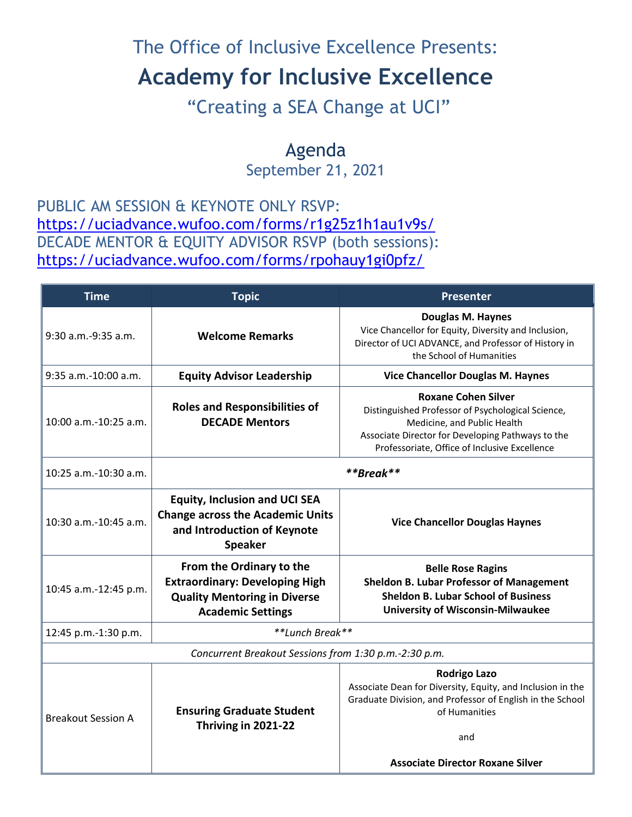## The Office of Inclusive Excellence Presents:

## **Academy for Inclusive Excellence**

"Creating a SEA Change at UCI"

Agenda September 21, 2021

PUBLIC AM SESSION & KEYNOTE ONLY RSVP: <https://uciadvance.wufoo.com/forms/r1g25z1h1au1v9s/> DECADE MENTOR & EQUITY ADVISOR RSVP (both sessions): <https://uciadvance.wufoo.com/forms/rpohauy1gi0pfz/>

| <b>Time</b>                                           | <b>Topic</b>                                                                                                                         | <b>Presenter</b>                                                                                                                                                                                                     |
|-------------------------------------------------------|--------------------------------------------------------------------------------------------------------------------------------------|----------------------------------------------------------------------------------------------------------------------------------------------------------------------------------------------------------------------|
| 9:30 a.m.-9:35 a.m.                                   | <b>Welcome Remarks</b>                                                                                                               | <b>Douglas M. Haynes</b><br>Vice Chancellor for Equity, Diversity and Inclusion,<br>Director of UCI ADVANCE, and Professor of History in<br>the School of Humanities                                                 |
| 9:35 a.m.-10:00 a.m.                                  | <b>Equity Advisor Leadership</b>                                                                                                     | <b>Vice Chancellor Douglas M. Haynes</b>                                                                                                                                                                             |
| 10:00 a.m.-10:25 a.m.                                 | <b>Roles and Responsibilities of</b><br><b>DECADE Mentors</b>                                                                        | <b>Roxane Cohen Silver</b><br>Distinguished Professor of Psychological Science,<br>Medicine, and Public Health<br>Associate Director for Developing Pathways to the<br>Professoriate, Office of Inclusive Excellence |
| 10:25 a.m.-10:30 a.m.                                 | **Break**                                                                                                                            |                                                                                                                                                                                                                      |
| 10:30 a.m.-10:45 a.m.                                 | <b>Equity, Inclusion and UCI SEA</b><br><b>Change across the Academic Units</b><br>and Introduction of Keynote<br><b>Speaker</b>     | <b>Vice Chancellor Douglas Haynes</b>                                                                                                                                                                                |
| 10:45 a.m.-12:45 p.m.                                 | From the Ordinary to the<br><b>Extraordinary: Developing High</b><br><b>Quality Mentoring in Diverse</b><br><b>Academic Settings</b> | <b>Belle Rose Ragins</b><br><b>Sheldon B. Lubar Professor of Management</b><br><b>Sheldon B. Lubar School of Business</b><br><b>University of Wisconsin-Milwaukee</b>                                                |
| 12:45 p.m.-1:30 p.m.                                  | **Lunch Break**                                                                                                                      |                                                                                                                                                                                                                      |
| Concurrent Breakout Sessions from 1:30 p.m.-2:30 p.m. |                                                                                                                                      |                                                                                                                                                                                                                      |
| <b>Breakout Session A</b>                             | <b>Ensuring Graduate Student</b><br>Thriving in 2021-22                                                                              | <b>Rodrigo Lazo</b><br>Associate Dean for Diversity, Equity, and Inclusion in the<br>Graduate Division, and Professor of English in the School<br>of Humanities<br>and<br><b>Associate Director Roxane Silver</b>    |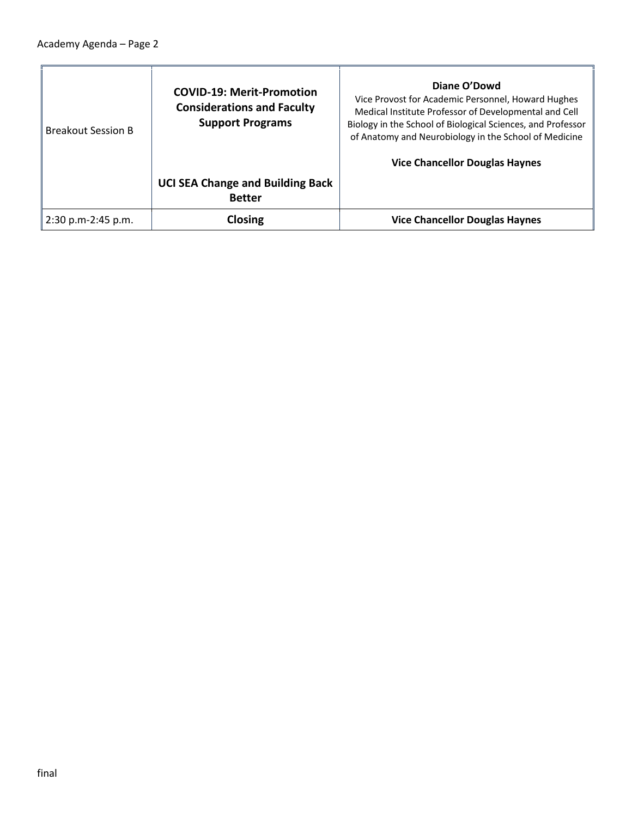$\blacksquare$ 

| <b>Breakout Session B</b> | <b>COVID-19: Merit-Promotion</b><br><b>Considerations and Faculty</b><br><b>Support Programs</b> | Diane O'Dowd<br>Vice Provost for Academic Personnel, Howard Hughes<br>Medical Institute Professor of Developmental and Cell<br>Biology in the School of Biological Sciences, and Professor<br>of Anatomy and Neurobiology in the School of Medicine<br><b>Vice Chancellor Douglas Haynes</b> |
|---------------------------|--------------------------------------------------------------------------------------------------|----------------------------------------------------------------------------------------------------------------------------------------------------------------------------------------------------------------------------------------------------------------------------------------------|
|                           | <b>UCI SEA Change and Building Back</b><br><b>Better</b>                                         |                                                                                                                                                                                                                                                                                              |
| 2:30 p.m-2:45 p.m.        | Closing                                                                                          | <b>Vice Chancellor Douglas Haynes</b>                                                                                                                                                                                                                                                        |